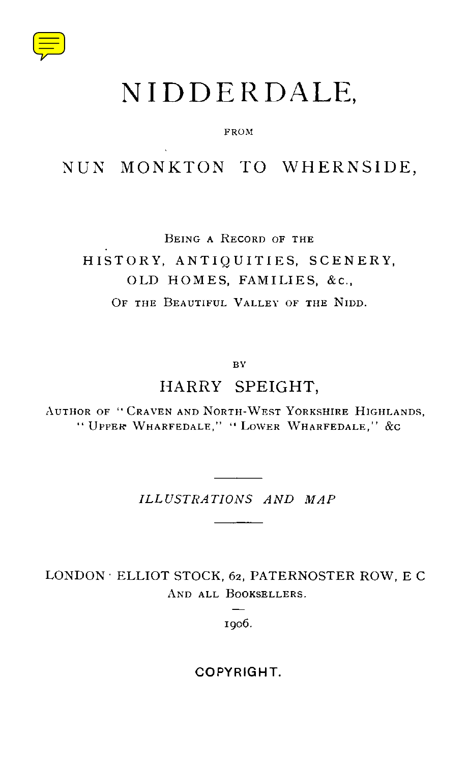

# NIDDERDALE,

#### FROM

### NUN MONKTON TO WHERNSIDE,

BEING A RECORD OF THE

### HISTORY, ANTIQUITIES, SCENERY, OLD HOMES, FAMILIES, &c., OF THE BEAUTIFUL VALLEY OF THE NIDD.

BY

#### HARRY SPEIGHT,

AUTHOR OF "CRAVEN AND NORTH-WEST YORKSHIRE HIGHLANDS, " UPPER WHARFEDALE," " LOWER WHARFEDALE," &C

*ILLUSTRATIONS AND MAP*

LONDON • ELLIOT STOCK, 62, PATERNOSTER ROW, E C AND ALL BOOKSELLERS.

1906.

COPYRIGHT.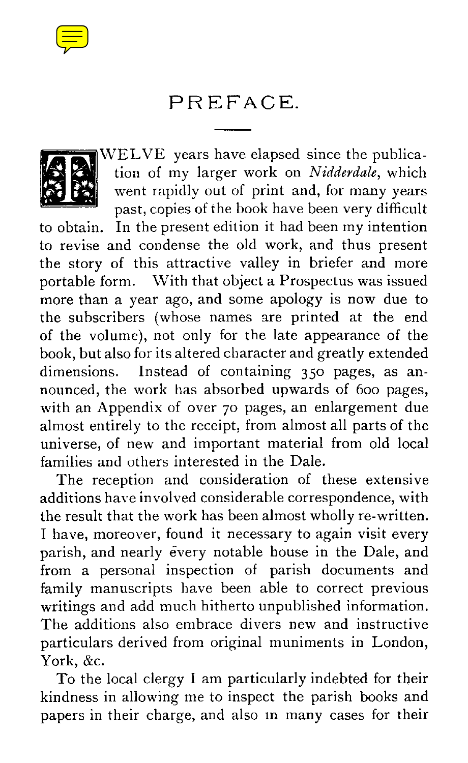

## PREFACE.



WELVE years have elapsed since the publication of my larger work on *Nidderdale,* which went rapidly out of print and, for many years past, copies of the book have been very difficult

to obtain. In the present edition it had been my intention to revise and condense the old work, and thus present the story of this attractive valley in briefer and more portable form. With that object a Prospectus was issued more than a year ago, and some apology is now due to the subscribers (whose names are printed at the end of the volume), not only 'for the late appearance of the book, but also for its altered character and greatly extended dimensions. Instead of containing 35o pages, as announced, the work has absorbed upwards of 600 pages, with an Appendix of over 70 pages, an enlargement due almost entirely to the receipt, from almost all parts of the universe, of new and important material from old local families and others interested in the Dale.

The reception and consideration of these extensive additions have involved considerable correspondence, with the result that the work has been almost wholly re-written. I have, moreover, found it necessary to again visit every parish, and nearly every notable house in the Dale, and from a personal inspection of parish documents and family manuscripts have been able to correct previous writings and add much hitherto unpublished information. The additions also embrace divers new and instructive particulars derived from original muniments in London, York, &c.

To the local clergy I am particularly indebted for their kindness in allowing me to inspect the parish books and papers in their charge, and also in many cases for their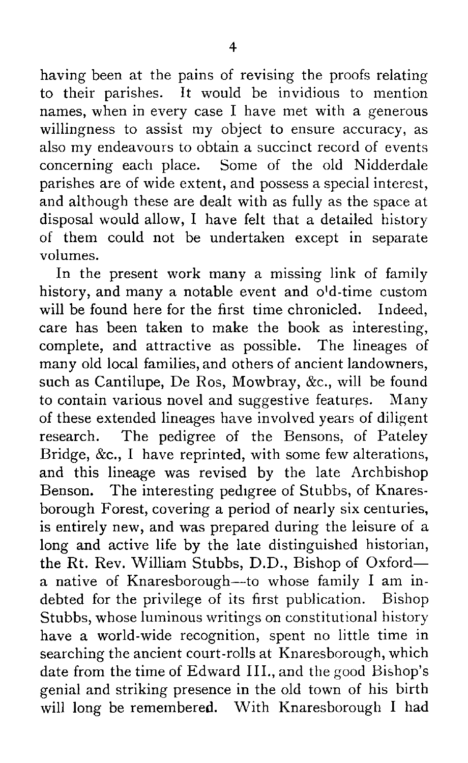having been at the pains of revising the proofs relating to their parishes. It would be invidious to mention names, when in every case I have met with a generous willingness to assist my object to ensure accuracy, as also my endeavours to obtain a succinct record of events concerning each place. Some of the old Nidderdale parishes are of wide extent, and possess a special interest, and although these are dealt with as fully as the space at disposal would allow, I have felt that a detailed history of them could not be undertaken except in separate volumes.

In the present work many a missing link of family history, and many a notable event and o'd-time custom will be found here for the first time chronicled. Indeed, care has been taken to make the book as interesting, complete, and attractive as possible. The lineages of many old local families, and others of ancient landowners, such as Cantilupe, De Ros, Mowbray, &c., will be found to contain various novel and suggestive features. Many of these extended lineages have involved years of diligent research. The pedigree of the Bensons, of Pateley Bridge, &c., I have reprinted, with some few alterations, and this lineage was revised by the late Archbishop Benson. The interesting pedigree of Stubbs, of Knaresborough Forest, covering a period of nearly six centuries, is entirely new, and was prepared during the leisure of a long and active life by the late distinguished historian, the Rt. Rev. William Stubbs, D.D., Bishop of Oxford a native of Knaresborough—to whose family I am indebted for the privilege of its first publication. Bishop Stubbs, whose luminous writings on constitutional history have a world-wide recognition, spent no little time in searching the ancient court-rolls at Knaresborough, which date from the time of Edward III., and the good Bishop's genial and striking presence in the old town of his birth will long be remembered. With Knaresborough I had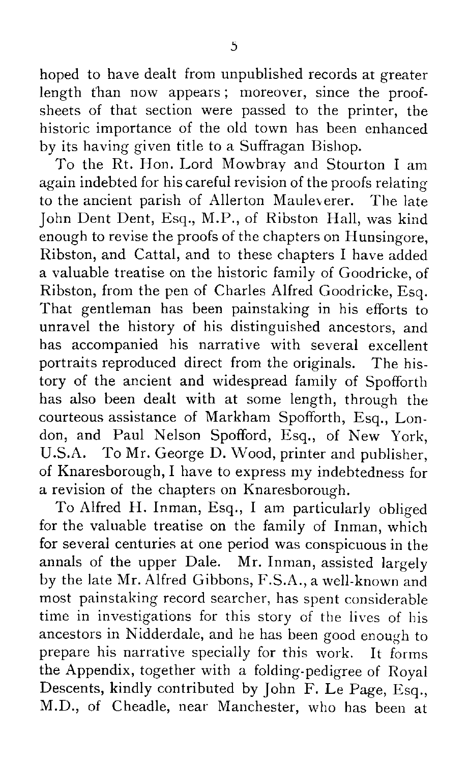hoped to have dealt from unpublished records at greater length than now appears; moreover, since the proofsheets of that section were passed to the printer, the historic importance of the old town has been enhanced by its having given title to a Suffragan Bishop.

To the Rt. Hon. Lord Mowbray and Stourton I am again indebted for his careful revision of the proofs relating to the ancient parish of Allerton Mauleverer. The late John Dent Dent, Esq., M.P., of Ribston Hall, was kind enough to revise the proofs of the chapters on Hunsingore, Ribston, and Cattal, and to these chapters I have added a valuable treatise on the historic family of Goodricke, of Ribston, from the pen of Charles Alfred Goodricke, Esq. That gentleman has been painstaking in his efforts to unravel the history of his distinguished ancestors, and has accompanied his narrative with several excellent portraits reproduced direct from the originals. The history of the ancient and widespread family of Spofforth has also been dealt with at some length, through the courteous assistance of Markham Spofforth, Esq., London, and Paul Nelson Spofford, Esq., of New York, U.S.A. To Mr. George D. Wood, printer and publisher, of Knaresborough, I have to express my indebtedness for a revision of the chapters on Knaresborough.

To Alfred H. Inman, Esq., I am particularly obliged for the valuable treatise on the family of Inman, which for several centuries at one period was conspicuous in the annals of the upper Dale. Mr. Inman, assisted largely by the late Mr. Alfred Gibbons, F.S.A., a well-known and most painstaking record searcher, has spent considerable time in investigations for this story of the lives of his ancestors in Nidderdale, and he has been good enough to prepare his narrative specially for this work. It forms the Appendix, together with a folding-pedigree of Royal Descents, kindly contributed by John F. Le Page, Esq., M.D., of Cheadle, near Manchester, who has been at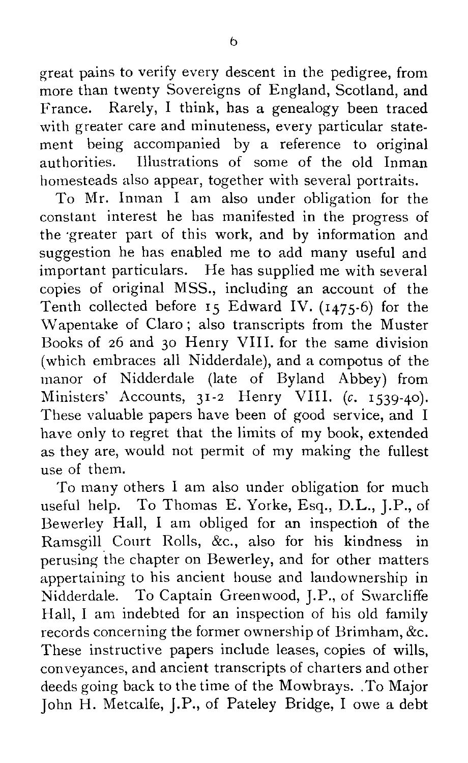great pains to verify every descent in the pedigree, from more than twenty Sovereigns of England, Scotland, and France. Rarely, I think, has a genealogy been traced with greater care and minuteness, every particular statement being accompanied by a reference to original authorities. Illustrations of some of the old Inman homesteads also appear, together with several portraits.

To Mr. Inman I am also under obligation for the constant interest he has manifested in the progress of the greater part of this work, and by information and suggestion he has enabled me to add many useful and important particulars. He has supplied me with several copies of original MSS., including an account of the Tenth collected before 15 Edward IV. (1475-6) for the Wapentake of Claro ; also transcripts from the Muster Books of 26 and 3o Henry VIII. for the same division (which embraces all Nidderdale), and a compotus of the manor of Nidderdale (late of Byland Abbey) from Ministers' Accounts,  $31-2$  Henry VIII. (c. 1539-40). These valuable papers have been of good service, and I have only to regret that the limits of my book, extended as they are, would not permit of my making the fullest use of them.

To many others I am also under obligation for much useful help. To Thomas E. Yorke, Esq., D.L., J.P., of Bewerley Hall, I am obliged for an inspection of the Ramsgill Court Rolls, &c., also for his kindness in perusing the chapter on Bewerley, and for other matters appertaining to his ancient house and landownership in Nidderdale. To Captain Greenwood, J.P., of Swarcliffe Hall, I am indebted for an inspection of his old family records concerning the former ownership of Brimham, &c. These instructive papers include leases, copies of wills, conveyances, and ancient transcripts of charters and other deeds going back to the time of the Mowbrays. .To Major John H. Metcalfe, J.P., of Pateley Bridge, I owe a debt